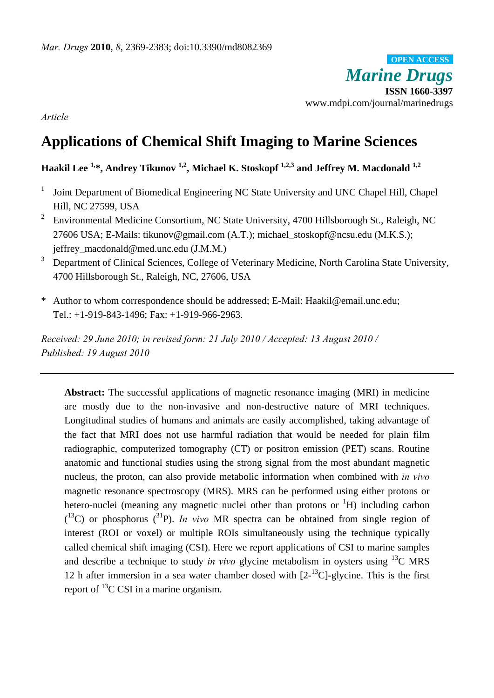*Marine Drugs* **ISSN 1660-3397**  www.mdpi.com/journal/marinedrugs **OPEN ACCESS**

*Article* 

# **Applications of Chemical Shift Imaging to Marine Sciences**

# Haakil Lee <sup>1,\*</sup>, Andrey Tikunov <sup>1,2</sup>, Michael K. Stoskopf <sup>1,2,3</sup> and Jeffrey M. Macdonald <sup>1,2</sup>

- 1 Joint Department of Biomedical Engineering NC State University and UNC Chapel Hill, Chapel Hill, NC 27599, USA
- 2 Environmental Medicine Consortium, NC State University, 4700 Hillsborough St., Raleigh, NC 27606 USA; E-Mails: tikunov@gmail.com (A.T.); michael\_stoskopf@ncsu.edu (M.K.S.); jeffrey\_macdonald@med.unc.edu (J.M.M.)
- 3 Department of Clinical Sciences, College of Veterinary Medicine, North Carolina State University, 4700 Hillsborough St., Raleigh, NC, 27606, USA
- \* Author to whom correspondence should be addressed; E-Mail: Haakil@email.unc.edu; Tel.: +1-919-843-1496; Fax: +1-919-966-2963.

*Received: 29 June 2010; in revised form: 21 July 2010 / Accepted: 13 August 2010 / Published: 19 August 2010* 

**Abstract:** The successful applications of magnetic resonance imaging (MRI) in medicine are mostly due to the non-invasive and non-destructive nature of MRI techniques. Longitudinal studies of humans and animals are easily accomplished, taking advantage of the fact that MRI does not use harmful radiation that would be needed for plain film radiographic, computerized tomography (CT) or positron emission (PET) scans. Routine anatomic and functional studies using the strong signal from the most abundant magnetic nucleus, the proton, can also provide metabolic information when combined with *in vivo* magnetic resonance spectroscopy (MRS). MRS can be performed using either protons or hetero-nuclei (meaning any magnetic nuclei other than protons or  ${}^{1}H$ ) including carbon  $($ <sup>13</sup>C) or phosphorus  $(^{31}P)$ . *In vivo* MR spectra can be obtained from single region of interest (ROI or voxel) or multiple ROIs simultaneously using the technique typically called chemical shift imaging (CSI). Here we report applications of CSI to marine samples and describe a technique to study *in vivo* glycine metabolism in oysters using  $^{13}$ C MRS 12 h after immersion in a sea water chamber dosed with  $[2<sup>13</sup>C]$ -glycine. This is the first report of 13C CSI in a marine organism.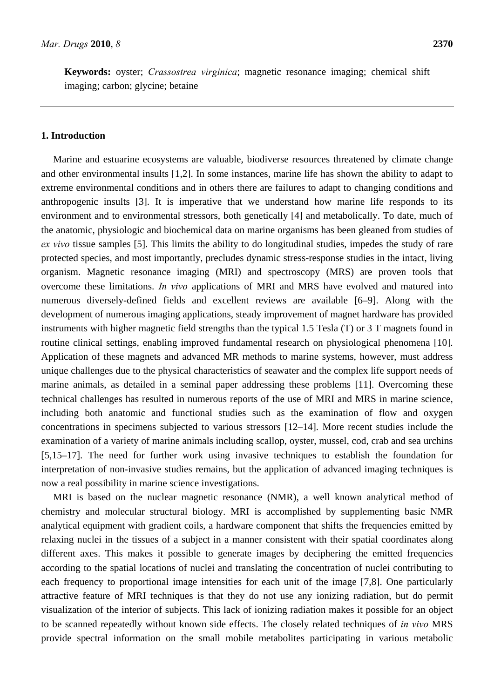**Keywords:** oyster; *Crassostrea virginica*; magnetic resonance imaging; chemical shift imaging; carbon; glycine; betaine

#### **1. Introduction**

Marine and estuarine ecosystems are valuable, biodiverse resources threatened by climate change and other environmental insults [1,2]. In some instances, marine life has shown the ability to adapt to extreme environmental conditions and in others there are failures to adapt to changing conditions and anthropogenic insults [3]. It is imperative that we understand how marine life responds to its environment and to environmental stressors, both genetically [4] and metabolically. To date, much of the anatomic, physiologic and biochemical data on marine organisms has been gleaned from studies of *ex vivo* tissue samples [5]. This limits the ability to do longitudinal studies, impedes the study of rare protected species, and most importantly, precludes dynamic stress-response studies in the intact, living organism. Magnetic resonance imaging (MRI) and spectroscopy (MRS) are proven tools that overcome these limitations. *In vivo* applications of MRI and MRS have evolved and matured into numerous diversely-defined fields and excellent reviews are available [6–9]. Along with the development of numerous imaging applications, steady improvement of magnet hardware has provided instruments with higher magnetic field strengths than the typical 1.5 Tesla (T) or 3 T magnets found in routine clinical settings, enabling improved fundamental research on physiological phenomena [10]. Application of these magnets and advanced MR methods to marine systems, however, must address unique challenges due to the physical characteristics of seawater and the complex life support needs of marine animals, as detailed in a seminal paper addressing these problems [11]. Overcoming these technical challenges has resulted in numerous reports of the use of MRI and MRS in marine science, including both anatomic and functional studies such as the examination of flow and oxygen concentrations in specimens subjected to various stressors [12–14]. More recent studies include the examination of a variety of marine animals including scallop, oyster, mussel, cod, crab and sea urchins [5,15–17]. The need for further work using invasive techniques to establish the foundation for interpretation of non-invasive studies remains, but the application of advanced imaging techniques is now a real possibility in marine science investigations.

MRI is based on the nuclear magnetic resonance (NMR), a well known analytical method of chemistry and molecular structural biology. MRI is accomplished by supplementing basic NMR analytical equipment with gradient coils, a hardware component that shifts the frequencies emitted by relaxing nuclei in the tissues of a subject in a manner consistent with their spatial coordinates along different axes. This makes it possible to generate images by deciphering the emitted frequencies according to the spatial locations of nuclei and translating the concentration of nuclei contributing to each frequency to proportional image intensities for each unit of the image [7,8]. One particularly attractive feature of MRI techniques is that they do not use any ionizing radiation, but do permit visualization of the interior of subjects. This lack of ionizing radiation makes it possible for an object to be scanned repeatedly without known side effects. The closely related techniques of *in vivo* MRS provide spectral information on the small mobile metabolites participating in various metabolic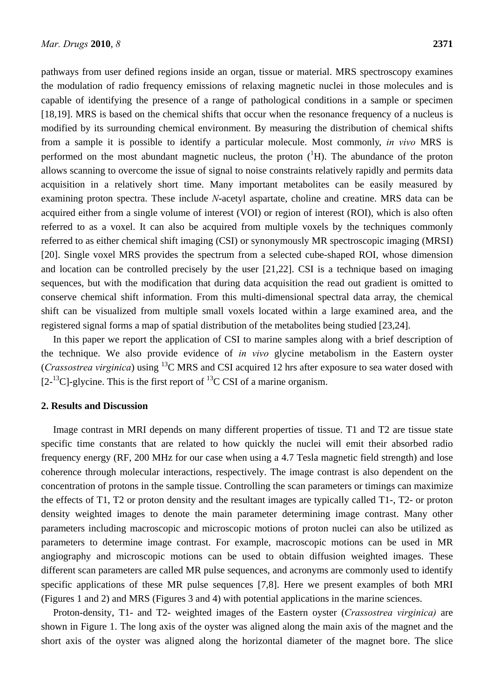pathways from user defined regions inside an organ, tissue or material. MRS spectroscopy examines the modulation of radio frequency emissions of relaxing magnetic nuclei in those molecules and is capable of identifying the presence of a range of pathological conditions in a sample or specimen [18,19]. MRS is based on the chemical shifts that occur when the resonance frequency of a nucleus is modified by its surrounding chemical environment. By measuring the distribution of chemical shifts from a sample it is possible to identify a particular molecule. Most commonly, *in vivo* MRS is performed on the most abundant magnetic nucleus, the proton  $({}^{1}H)$ . The abundance of the proton allows scanning to overcome the issue of signal to noise constraints relatively rapidly and permits data acquisition in a relatively short time. Many important metabolites can be easily measured by examining proton spectra. These include *N*-acetyl aspartate, choline and creatine. MRS data can be acquired either from a single volume of interest (VOI) or region of interest (ROI), which is also often referred to as a voxel. It can also be acquired from multiple voxels by the techniques commonly referred to as either chemical shift imaging (CSI) or synonymously MR spectroscopic imaging (MRSI) [20]. Single voxel MRS provides the spectrum from a selected cube-shaped ROI, whose dimension and location can be controlled precisely by the user [21,22]. CSI is a technique based on imaging sequences, but with the modification that during data acquisition the read out gradient is omitted to conserve chemical shift information. From this multi-dimensional spectral data array, the chemical shift can be visualized from multiple small voxels located within a large examined area, and the registered signal forms a map of spatial distribution of the metabolites being studied [23,24].

In this paper we report the application of CSI to marine samples along with a brief description of the technique. We also provide evidence of *in vivo* glycine metabolism in the Eastern oyster (*Crassostrea virginica*) using 13C MRS and CSI acquired 12 hrs after exposure to sea water dosed with  $[2<sup>13</sup>C]$ -glycine. This is the first report of <sup>13</sup>C CSI of a marine organism.

#### **2. Results and Discussion**

Image contrast in MRI depends on many different properties of tissue. T1 and T2 are tissue state specific time constants that are related to how quickly the nuclei will emit their absorbed radio frequency energy (RF, 200 MHz for our case when using a 4.7 Tesla magnetic field strength) and lose coherence through molecular interactions, respectively. The image contrast is also dependent on the concentration of protons in the sample tissue. Controlling the scan parameters or timings can maximize the effects of T1, T2 or proton density and the resultant images are typically called T1-, T2- or proton density weighted images to denote the main parameter determining image contrast. Many other parameters including macroscopic and microscopic motions of proton nuclei can also be utilized as parameters to determine image contrast. For example, macroscopic motions can be used in MR angiography and microscopic motions can be used to obtain diffusion weighted images. These different scan parameters are called MR pulse sequences, and acronyms are commonly used to identify specific applications of these MR pulse sequences [7,8]. Here we present examples of both MRI (Figures 1 and 2) and MRS (Figures 3 and 4) with potential applications in the marine sciences.

Proton-density, T1- and T2- weighted images of the Eastern oyster (*Crassostrea virginica)* are shown in Figure 1. The long axis of the oyster was aligned along the main axis of the magnet and the short axis of the oyster was aligned along the horizontal diameter of the magnet bore. The slice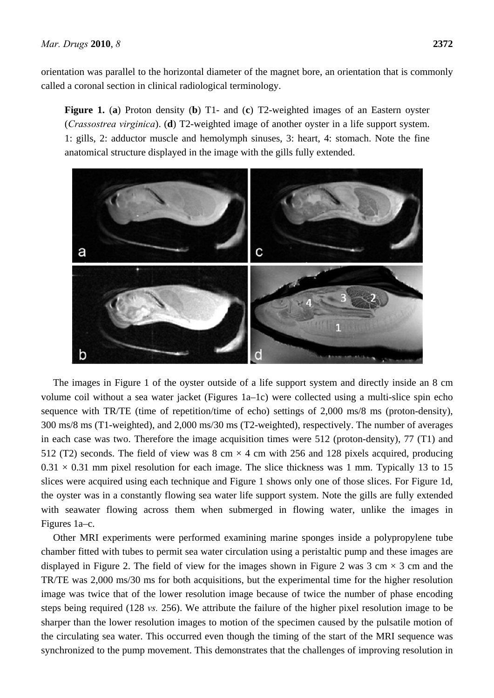orientation was parallel to the horizontal diameter of the magnet bore, an orientation that is commonly called a coronal section in clinical radiological terminology.

**Figure 1.** (**a**) Proton density (**b**) T1- and (**c**) T2-weighted images of an Eastern oyster (*Crassostrea virginica*). (**d**) T2-weighted image of another oyster in a life support system. 1: gills, 2: adductor muscle and hemolymph sinuses, 3: heart, 4: stomach. Note the fine anatomical structure displayed in the image with the gills fully extended.



The images in Figure 1 of the oyster outside of a life support system and directly inside an 8 cm volume coil without a sea water jacket (Figures 1a–1c) were collected using a multi-slice spin echo sequence with TR/TE (time of repetition/time of echo) settings of 2,000 ms/8 ms (proton-density), 300 ms/8 ms (T1-weighted), and 2,000 ms/30 ms (T2-weighted), respectively. The number of averages in each case was two. Therefore the image acquisition times were 512 (proton-density), 77 (T1) and 512 (T2) seconds. The field of view was 8 cm  $\times$  4 cm with 256 and 128 pixels acquired, producing  $0.31 \times 0.31$  mm pixel resolution for each image. The slice thickness was 1 mm. Typically 13 to 15 slices were acquired using each technique and Figure 1 shows only one of those slices. For Figure 1d, the oyster was in a constantly flowing sea water life support system. Note the gills are fully extended with seawater flowing across them when submerged in flowing water, unlike the images in Figures 1a–c.

Other MRI experiments were performed examining marine sponges inside a polypropylene tube chamber fitted with tubes to permit sea water circulation using a peristaltic pump and these images are displayed in Figure 2. The field of view for the images shown in Figure 2 was 3 cm  $\times$  3 cm and the TR/TE was 2,000 ms/30 ms for both acquisitions, but the experimental time for the higher resolution image was twice that of the lower resolution image because of twice the number of phase encoding steps being required (128 *vs.* 256). We attribute the failure of the higher pixel resolution image to be sharper than the lower resolution images to motion of the specimen caused by the pulsatile motion of the circulating sea water. This occurred even though the timing of the start of the MRI sequence was synchronized to the pump movement. This demonstrates that the challenges of improving resolution in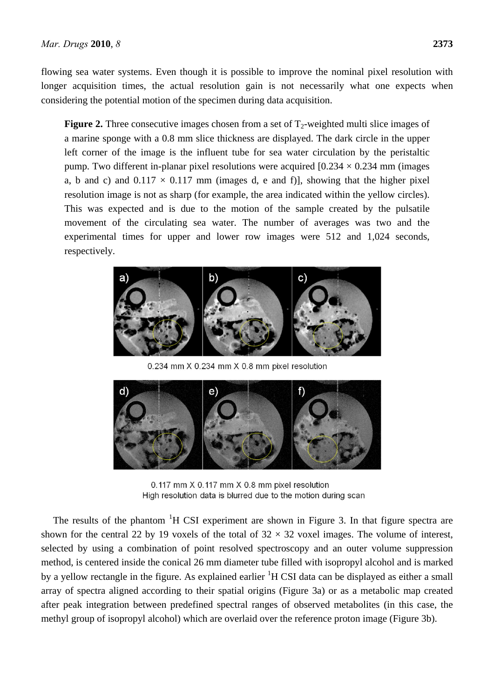flowing sea water systems. Even though it is possible to improve the nominal pixel resolution with longer acquisition times, the actual resolution gain is not necessarily what one expects when considering the potential motion of the specimen during data acquisition.

**Figure 2.** Three consecutive images chosen from a set of  $T_2$ -weighted multi slice images of a marine sponge with a 0.8 mm slice thickness are displayed. The dark circle in the upper left corner of the image is the influent tube for sea water circulation by the peristaltic pump. Two different in-planar pixel resolutions were acquired  $[0.234 \times 0.234$  mm (images a, b and c) and  $0.117 \times 0.117$  mm (images d, e and f)], showing that the higher pixel resolution image is not as sharp (for example, the area indicated within the yellow circles). This was expected and is due to the motion of the sample created by the pulsatile movement of the circulating sea water. The number of averages was two and the experimental times for upper and lower row images were 512 and 1,024 seconds, respectively.



0.234 mm X 0.234 mm X 0.8 mm pixel resolution



0.117 mm X 0.117 mm X 0.8 mm pixel resolution High resolution data is blurred due to the motion during scan

The results of the phantom  ${}^{1}H$  CSI experiment are shown in Figure 3. In that figure spectra are shown for the central 22 by 19 voxels of the total of  $32 \times 32$  voxel images. The volume of interest, selected by using a combination of point resolved spectroscopy and an outer volume suppression method, is centered inside the conical 26 mm diameter tube filled with isopropyl alcohol and is marked by a yellow rectangle in the figure. As explained earlier <sup>1</sup>H CSI data can be displayed as either a small array of spectra aligned according to their spatial origins (Figure 3a) or as a metabolic map created after peak integration between predefined spectral ranges of observed metabolites (in this case, the methyl group of isopropyl alcohol) which are overlaid over the reference proton image (Figure 3b).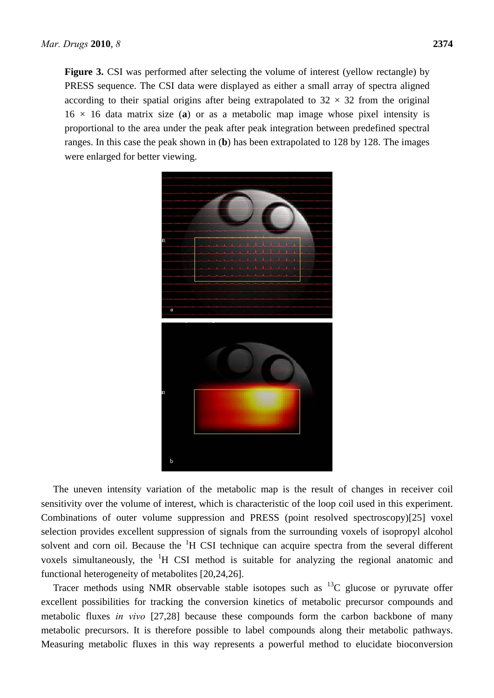Figure 3. CSI was performed after selecting the volume of interest (yellow rectangle) by PRESS sequence. The CSI data were displayed as either a small array of spectra aligned according to their spatial origins after being extrapolated to  $32 \times 32$  from the original 16 × 16 data matrix size (**a**) or as a metabolic map image whose pixel intensity is proportional to the area under the peak after peak integration between predefined spectral ranges. In this case the peak shown in (**b**) has been extrapolated to 128 by 128. The images were enlarged for better viewing.



The uneven intensity variation of the metabolic map is the result of changes in receiver coil sensitivity over the volume of interest, which is characteristic of the loop coil used in this experiment. Combinations of outer volume suppression and PRESS (point resolved spectroscopy)[25] voxel selection provides excellent suppression of signals from the surrounding voxels of isopropyl alcohol solvent and corn oil. Because the <sup>1</sup>H CSI technique can acquire spectra from the several different voxels simultaneously, the  ${}^{1}H$  CSI method is suitable for analyzing the regional anatomic and functional heterogeneity of metabolites [20,24,26].

Tracer methods using NMR observable stable isotopes such as  $^{13}C$  glucose or pyruvate offer excellent possibilities for tracking the conversion kinetics of metabolic precursor compounds and metabolic fluxes *in vivo* [27,28] because these compounds form the carbon backbone of many metabolic precursors. It is therefore possible to label compounds along their metabolic pathways. Measuring metabolic fluxes in this way represents a powerful method to elucidate bioconversion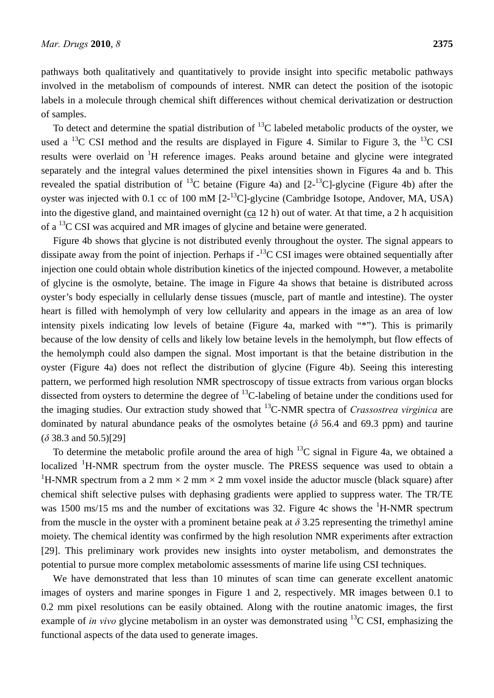pathways both qualitatively and quantitatively to provide insight into specific metabolic pathways involved in the metabolism of compounds of interest. NMR can detect the position of the isotopic labels in a molecule through chemical shift differences without chemical derivatization or destruction of samples.

To detect and determine the spatial distribution of  $^{13}$ C labeled metabolic products of the oyster, we used a <sup>13</sup>C CSI method and the results are displayed in Figure 4. Similar to Figure 3, the <sup>13</sup>C CSI results were overlaid on <sup>1</sup>H reference images. Peaks around betaine and glycine were integrated separately and the integral values determined the pixel intensities shown in Figures 4a and b. This revealed the spatial distribution of <sup>13</sup>C betaine (Figure 4a) and  $[2^{-13}C]$ -glycine (Figure 4b) after the oyster was injected with 0.1 cc of 100 mM  $[2<sup>13</sup>C]$ -glycine (Cambridge Isotope, Andover, MA, USA) into the digestive gland, and maintained overnight  $(ca 12 h)$  out of water. At that time, a 2 h acquisition of a  $^{13}$ C CSI was acquired and MR images of glycine and betaine were generated.

Figure 4b shows that glycine is not distributed evenly throughout the oyster. The signal appears to dissipate away from the point of injection. Perhaps if  $-$ <sup>13</sup>C CSI images were obtained sequentially after injection one could obtain whole distribution kinetics of the injected compound. However, a metabolite of glycine is the osmolyte, betaine. The image in Figure 4a shows that betaine is distributed across oyster's body especially in cellularly dense tissues (muscle, part of mantle and intestine). The oyster heart is filled with hemolymph of very low cellularity and appears in the image as an area of low intensity pixels indicating low levels of betaine (Figure 4a, marked with "\*"). This is primarily because of the low density of cells and likely low betaine levels in the hemolymph, but flow effects of the hemolymph could also dampen the signal. Most important is that the betaine distribution in the oyster (Figure 4a) does not reflect the distribution of glycine (Figure 4b). Seeing this interesting pattern, we performed high resolution NMR spectroscopy of tissue extracts from various organ blocks dissected from oysters to determine the degree of <sup>13</sup>C-labeling of betaine under the conditions used for the imaging studies. Our extraction study showed that 13C-NMR spectra of *Crassostrea virginica* are dominated by natural abundance peaks of the osmolytes betaine (*δ* 56.4 and 69.3 ppm) and taurine (*δ* 38.3 and 50.5)[29]

To determine the metabolic profile around the area of high  $^{13}$ C signal in Figure 4a, we obtained a localized <sup>1</sup>H-NMR spectrum from the oyster muscle. The PRESS sequence was used to obtain a <sup>1</sup>H-NMR spectrum from a 2 mm  $\times$  2 mm  $\times$  2 mm voxel inside the aductor muscle (black square) after chemical shift selective pulses with dephasing gradients were applied to suppress water. The TR/TE was 1500 ms/15 ms and the number of excitations was 32. Figure 4c shows the  ${}^{1}$ H-NMR spectrum from the muscle in the oyster with a prominent betaine peak at  $\delta$  3.25 representing the trimethyl amine moiety. The chemical identity was confirmed by the high resolution NMR experiments after extraction [29]. This preliminary work provides new insights into oyster metabolism, and demonstrates the potential to pursue more complex metabolomic assessments of marine life using CSI techniques.

We have demonstrated that less than 10 minutes of scan time can generate excellent anatomic images of oysters and marine sponges in Figure 1 and 2, respectively. MR images between 0.1 to 0.2 mm pixel resolutions can be easily obtained. Along with the routine anatomic images, the first example of *in vivo* glycine metabolism in an oyster was demonstrated using  $^{13}$ C CSI, emphasizing the functional aspects of the data used to generate images.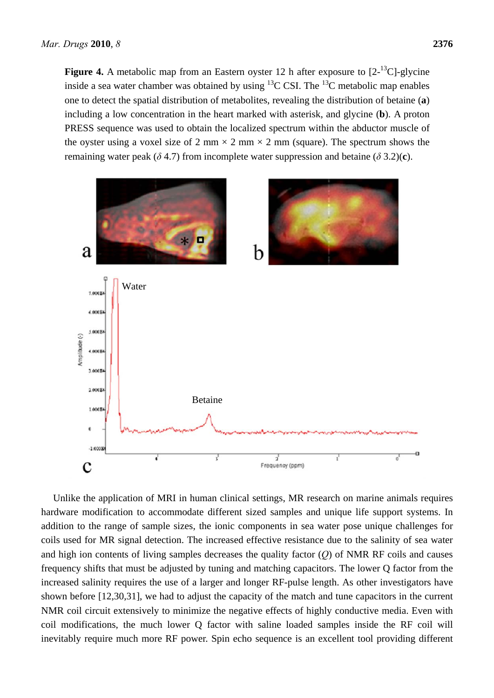**Figure 4.** A metabolic map from an Eastern oyster 12 h after exposure to  $[2^{-13}C]$ -glycine inside a sea water chamber was obtained by using  $^{13}$ C CSI. The  $^{13}$ C metabolic map enables one to detect the spatial distribution of metabolites, revealing the distribution of betaine (**a**) including a low concentration in the heart marked with asterisk, and glycine (**b**). A proton PRESS sequence was used to obtain the localized spectrum within the abductor muscle of the oyster using a voxel size of 2 mm  $\times$  2 mm  $\times$  2 mm (square). The spectrum shows the remaining water peak ( $\delta$  4.7) from incomplete water suppression and betaine ( $\delta$  3.2)(c).



Unlike the application of MRI in human clinical settings, MR research on marine animals requires hardware modification to accommodate different sized samples and unique life support systems. In addition to the range of sample sizes, the ionic components in sea water pose unique challenges for coils used for MR signal detection. The increased effective resistance due to the salinity of sea water and high ion contents of living samples decreases the quality factor (*Q*) of NMR RF coils and causes frequency shifts that must be adjusted by tuning and matching capacitors. The lower Q factor from the increased salinity requires the use of a larger and longer RF-pulse length. As other investigators have shown before [12,30,31], we had to adjust the capacity of the match and tune capacitors in the current NMR coil circuit extensively to minimize the negative effects of highly conductive media. Even with coil modifications, the much lower Q factor with saline loaded samples inside the RF coil will inevitably require much more RF power. Spin echo sequence is an excellent tool providing different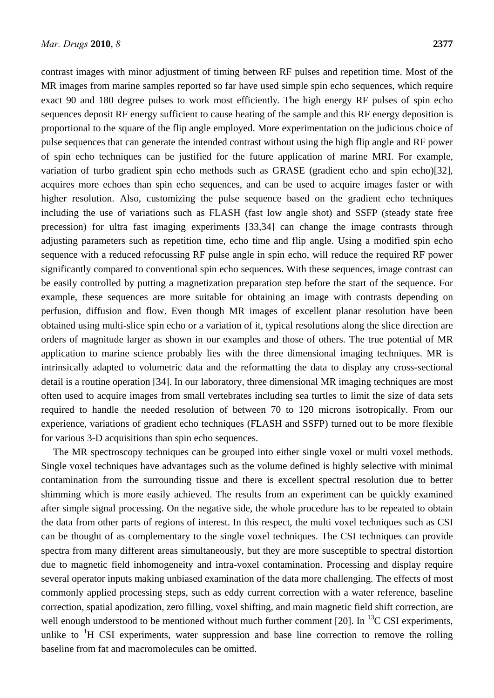contrast images with minor adjustment of timing between RF pulses and repetition time. Most of the MR images from marine samples reported so far have used simple spin echo sequences, which require exact 90 and 180 degree pulses to work most efficiently. The high energy RF pulses of spin echo sequences deposit RF energy sufficient to cause heating of the sample and this RF energy deposition is proportional to the square of the flip angle employed. More experimentation on the judicious choice of pulse sequences that can generate the intended contrast without using the high flip angle and RF power of spin echo techniques can be justified for the future application of marine MRI. For example, variation of turbo gradient spin echo methods such as GRASE (gradient echo and spin echo)[32], acquires more echoes than spin echo sequences, and can be used to acquire images faster or with higher resolution. Also, customizing the pulse sequence based on the gradient echo techniques including the use of variations such as FLASH (fast low angle shot) and SSFP (steady state free precession) for ultra fast imaging experiments [33,34] can change the image contrasts through adjusting parameters such as repetition time, echo time and flip angle. Using a modified spin echo sequence with a reduced refocussing RF pulse angle in spin echo, will reduce the required RF power significantly compared to conventional spin echo sequences. With these sequences, image contrast can be easily controlled by putting a magnetization preparation step before the start of the sequence. For example, these sequences are more suitable for obtaining an image with contrasts depending on perfusion, diffusion and flow. Even though MR images of excellent planar resolution have been obtained using multi-slice spin echo or a variation of it, typical resolutions along the slice direction are orders of magnitude larger as shown in our examples and those of others. The true potential of MR application to marine science probably lies with the three dimensional imaging techniques. MR is intrinsically adapted to volumetric data and the reformatting the data to display any cross-sectional detail is a routine operation [34]. In our laboratory, three dimensional MR imaging techniques are most often used to acquire images from small vertebrates including sea turtles to limit the size of data sets required to handle the needed resolution of between 70 to 120 microns isotropically. From our experience, variations of gradient echo techniques (FLASH and SSFP) turned out to be more flexible for various 3-D acquisitions than spin echo sequences.

The MR spectroscopy techniques can be grouped into either single voxel or multi voxel methods. Single voxel techniques have advantages such as the volume defined is highly selective with minimal contamination from the surrounding tissue and there is excellent spectral resolution due to better shimming which is more easily achieved. The results from an experiment can be quickly examined after simple signal processing. On the negative side, the whole procedure has to be repeated to obtain the data from other parts of regions of interest. In this respect, the multi voxel techniques such as CSI can be thought of as complementary to the single voxel techniques. The CSI techniques can provide spectra from many different areas simultaneously, but they are more susceptible to spectral distortion due to magnetic field inhomogeneity and intra-voxel contamination. Processing and display require several operator inputs making unbiased examination of the data more challenging. The effects of most commonly applied processing steps, such as eddy current correction with a water reference, baseline correction, spatial apodization, zero filling, voxel shifting, and main magnetic field shift correction, are well enough understood to be mentioned without much further comment [20]. In  $^{13}$ C CSI experiments, unlike to  ${}^{1}H$  CSI experiments, water suppression and base line correction to remove the rolling baseline from fat and macromolecules can be omitted.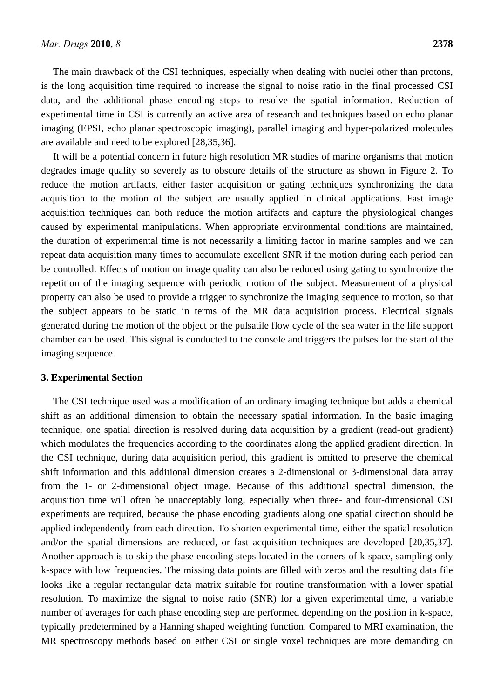The main drawback of the CSI techniques, especially when dealing with nuclei other than protons, is the long acquisition time required to increase the signal to noise ratio in the final processed CSI data, and the additional phase encoding steps to resolve the spatial information. Reduction of experimental time in CSI is currently an active area of research and techniques based on echo planar imaging (EPSI, echo planar spectroscopic imaging), parallel imaging and hyper-polarized molecules are available and need to be explored [28,35,36].

It will be a potential concern in future high resolution MR studies of marine organisms that motion degrades image quality so severely as to obscure details of the structure as shown in Figure 2. To reduce the motion artifacts, either faster acquisition or gating techniques synchronizing the data acquisition to the motion of the subject are usually applied in clinical applications. Fast image acquisition techniques can both reduce the motion artifacts and capture the physiological changes caused by experimental manipulations. When appropriate environmental conditions are maintained, the duration of experimental time is not necessarily a limiting factor in marine samples and we can repeat data acquisition many times to accumulate excellent SNR if the motion during each period can be controlled. Effects of motion on image quality can also be reduced using gating to synchronize the repetition of the imaging sequence with periodic motion of the subject. Measurement of a physical property can also be used to provide a trigger to synchronize the imaging sequence to motion, so that the subject appears to be static in terms of the MR data acquisition process. Electrical signals generated during the motion of the object or the pulsatile flow cycle of the sea water in the life support chamber can be used. This signal is conducted to the console and triggers the pulses for the start of the imaging sequence.

#### **3. Experimental Section**

The CSI technique used was a modification of an ordinary imaging technique but adds a chemical shift as an additional dimension to obtain the necessary spatial information. In the basic imaging technique, one spatial direction is resolved during data acquisition by a gradient (read-out gradient) which modulates the frequencies according to the coordinates along the applied gradient direction. In the CSI technique, during data acquisition period, this gradient is omitted to preserve the chemical shift information and this additional dimension creates a 2-dimensional or 3-dimensional data array from the 1- or 2-dimensional object image. Because of this additional spectral dimension, the acquisition time will often be unacceptably long, especially when three- and four-dimensional CSI experiments are required, because the phase encoding gradients along one spatial direction should be applied independently from each direction. To shorten experimental time, either the spatial resolution and/or the spatial dimensions are reduced, or fast acquisition techniques are developed [20,35,37]. Another approach is to skip the phase encoding steps located in the corners of k-space, sampling only k-space with low frequencies. The missing data points are filled with zeros and the resulting data file looks like a regular rectangular data matrix suitable for routine transformation with a lower spatial resolution. To maximize the signal to noise ratio (SNR) for a given experimental time, a variable number of averages for each phase encoding step are performed depending on the position in k-space, typically predetermined by a Hanning shaped weighting function. Compared to MRI examination, the MR spectroscopy methods based on either CSI or single voxel techniques are more demanding on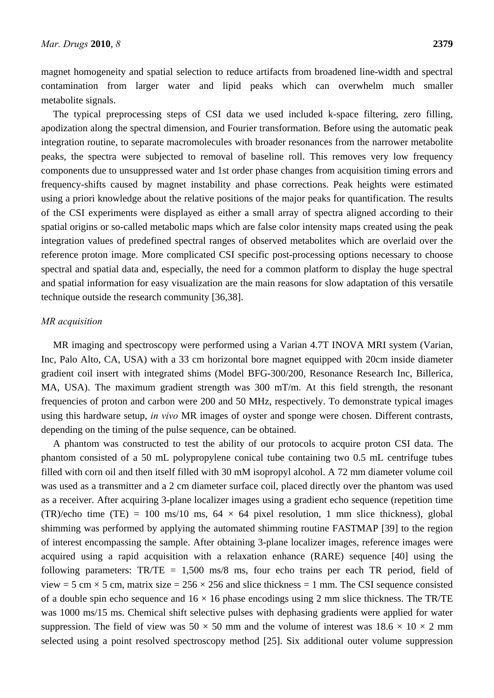magnet homogeneity and spatial selection to reduce artifacts from broadened line-width and spectral contamination from larger water and lipid peaks which can overwhelm much smaller metabolite signals.

The typical preprocessing steps of CSI data we used included k-space filtering, zero filling, apodization along the spectral dimension, and Fourier transformation. Before using the automatic peak integration routine, to separate macromolecules with broader resonances from the narrower metabolite peaks, the spectra were subjected to removal of baseline roll. This removes very low frequency components due to unsuppressed water and 1st order phase changes from acquisition timing errors and frequency-shifts caused by magnet instability and phase corrections. Peak heights were estimated using a priori knowledge about the relative positions of the major peaks for quantification. The results of the CSI experiments were displayed as either a small array of spectra aligned according to their spatial origins or so-called metabolic maps which are false color intensity maps created using the peak integration values of predefined spectral ranges of observed metabolites which are overlaid over the reference proton image. More complicated CSI specific post-processing options necessary to choose spectral and spatial data and, especially, the need for a common platform to display the huge spectral and spatial information for easy visualization are the main reasons for slow adaptation of this versatile technique outside the research community [36,38].

#### *MR acquisition*

MR imaging and spectroscopy were performed using a Varian 4.7T INOVA MRI system (Varian, Inc, Palo Alto, CA, USA) with a 33 cm horizontal bore magnet equipped with 20cm inside diameter gradient coil insert with integrated shims (Model BFG-300/200, Resonance Research Inc, Billerica, MA, USA). The maximum gradient strength was 300 mT/m. At this field strength, the resonant frequencies of proton and carbon were 200 and 50 MHz, respectively. To demonstrate typical images using this hardware setup, *in vivo* MR images of oyster and sponge were chosen. Different contrasts, depending on the timing of the pulse sequence, can be obtained.

A phantom was constructed to test the ability of our protocols to acquire proton CSI data. The phantom consisted of a 50 mL polypropylene conical tube containing two 0.5 mL centrifuge tubes filled with corn oil and then itself filled with 30 mM isopropyl alcohol. A 72 mm diameter volume coil was used as a transmitter and a 2 cm diameter surface coil, placed directly over the phantom was used as a receiver. After acquiring 3-plane localizer images using a gradient echo sequence (repetition time (TR)/echo time (TE) = 100 ms/10 ms,  $64 \times 64$  pixel resolution, 1 mm slice thickness), global shimming was performed by applying the automated shimming routine FASTMAP [39] to the region of interest encompassing the sample. After obtaining 3-plane localizer images, reference images were acquired using a rapid acquisition with a relaxation enhance (RARE) sequence [40] using the following parameters:  $TR/TE = 1,500$  ms/8 ms, four echo trains per each TR period, field of view = 5 cm  $\times$  5 cm, matrix size = 256  $\times$  256 and slice thickness = 1 mm. The CSI sequence consisted of a double spin echo sequence and  $16 \times 16$  phase encodings using 2 mm slice thickness. The TR/TE was 1000 ms/15 ms. Chemical shift selective pulses with dephasing gradients were applied for water suppression. The field of view was  $50 \times 50$  mm and the volume of interest was  $18.6 \times 10 \times 2$  mm selected using a point resolved spectroscopy method [25]. Six additional outer volume suppression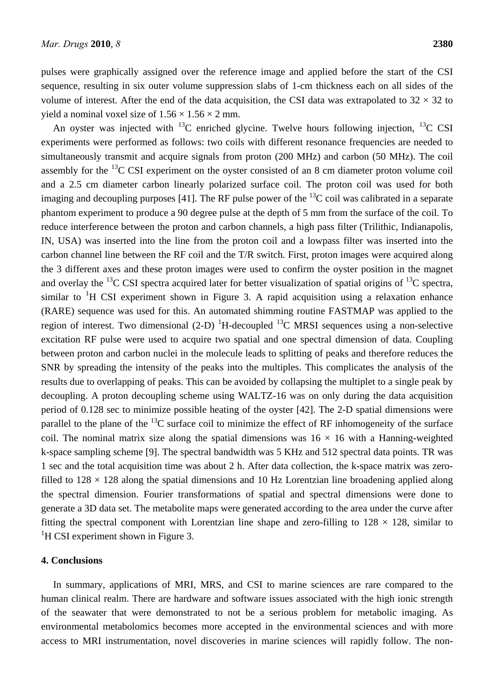pulses were graphically assigned over the reference image and applied before the start of the CSI sequence, resulting in six outer volume suppression slabs of 1-cm thickness each on all sides of the volume of interest. After the end of the data acquisition, the CSI data was extrapolated to  $32 \times 32$  to vield a nominal voxel size of  $1.56 \times 1.56 \times 2$  mm.

An oyster was injected with  $^{13}$ C enriched glycine. Twelve hours following injection,  $^{13}$ C CSI experiments were performed as follows: two coils with different resonance frequencies are needed to simultaneously transmit and acquire signals from proton (200 MHz) and carbon (50 MHz). The coil assembly for the  $^{13}$ C CSI experiment on the oyster consisted of an 8 cm diameter proton volume coil and a 2.5 cm diameter carbon linearly polarized surface coil. The proton coil was used for both imaging and decoupling purposes [41]. The RF pulse power of the  $^{13}$ C coil was calibrated in a separate phantom experiment to produce a 90 degree pulse at the depth of 5 mm from the surface of the coil. To reduce interference between the proton and carbon channels, a high pass filter (Trilithic, Indianapolis, IN, USA) was inserted into the line from the proton coil and a lowpass filter was inserted into the carbon channel line between the RF coil and the T/R switch. First, proton images were acquired along the 3 different axes and these proton images were used to confirm the oyster position in the magnet and overlay the <sup>13</sup>C CSI spectra acquired later for better visualization of spatial origins of <sup>13</sup>C spectra, similar to  ${}^{1}H$  CSI experiment shown in Figure 3. A rapid acquisition using a relaxation enhance (RARE) sequence was used for this. An automated shimming routine FASTMAP was applied to the region of interest. Two dimensional  $(2-D)^{-1}H$ -decoupled <sup>13</sup>C MRSI sequences using a non-selective excitation RF pulse were used to acquire two spatial and one spectral dimension of data. Coupling between proton and carbon nuclei in the molecule leads to splitting of peaks and therefore reduces the SNR by spreading the intensity of the peaks into the multiples. This complicates the analysis of the results due to overlapping of peaks. This can be avoided by collapsing the multiplet to a single peak by decoupling. A proton decoupling scheme using WALTZ-16 was on only during the data acquisition period of 0.128 sec to minimize possible heating of the oyster [42]. The 2-D spatial dimensions were parallel to the plane of the  $^{13}$ C surface coil to minimize the effect of RF inhomogeneity of the surface coil. The nominal matrix size along the spatial dimensions was  $16 \times 16$  with a Hanning-weighted k-space sampling scheme [9]. The spectral bandwidth was 5 KHz and 512 spectral data points. TR was 1 sec and the total acquisition time was about 2 h. After data collection, the k-space matrix was zerofilled to  $128 \times 128$  along the spatial dimensions and 10 Hz Lorentzian line broadening applied along the spectral dimension. Fourier transformations of spatial and spectral dimensions were done to generate a 3D data set. The metabolite maps were generated according to the area under the curve after fitting the spectral component with Lorentzian line shape and zero-filling to  $128 \times 128$ , similar to <sup>1</sup>H CSI experiment shown in Figure 3.

#### **4. Conclusions**

In summary, applications of MRI, MRS, and CSI to marine sciences are rare compared to the human clinical realm. There are hardware and software issues associated with the high ionic strength of the seawater that were demonstrated to not be a serious problem for metabolic imaging. As environmental metabolomics becomes more accepted in the environmental sciences and with more access to MRI instrumentation, novel discoveries in marine sciences will rapidly follow. The non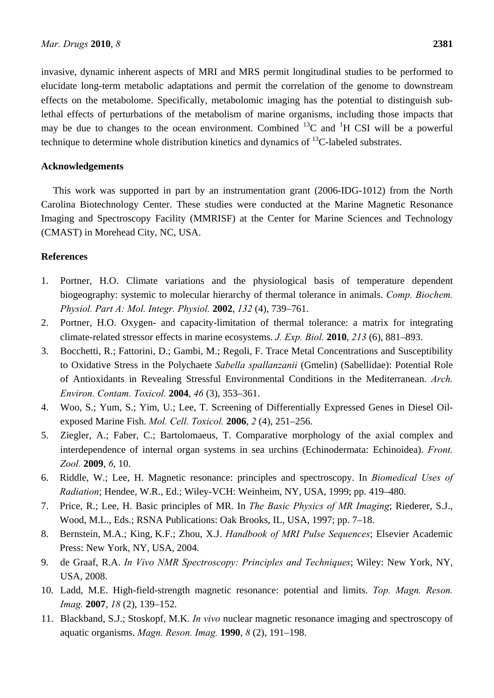invasive, dynamic inherent aspects of MRI and MRS permit longitudinal studies to be performed to elucidate long-term metabolic adaptations and permit the correlation of the genome to downstream effects on the metabolome. Specifically, metabolomic imaging has the potential to distinguish sublethal effects of perturbations of the metabolism of marine organisms, including those impacts that may be due to changes to the ocean environment. Combined  ${}^{13}C$  and  ${}^{1}H$  CSI will be a powerful technique to determine whole distribution kinetics and dynamics of  $^{13}$ C-labeled substrates.

### **Acknowledgements**

This work was supported in part by an instrumentation grant (2006-IDG-1012) from the North Carolina Biotechnology Center. These studies were conducted at the Marine Magnetic Resonance Imaging and Spectroscopy Facility (MMRISF) at the Center for Marine Sciences and Technology (CMAST) in Morehead City, NC, USA.

## **References**

- 1. Portner, H.O. Climate variations and the physiological basis of temperature dependent biogeography: systemic to molecular hierarchy of thermal tolerance in animals. *Comp. Biochem. Physiol. Part A: Mol. Integr. Physiol.* **2002**, *132* (4), 739–761.
- 2. Portner, H.O. Oxygen- and capacity-limitation of thermal tolerance: a matrix for integrating climate-related stressor effects in marine ecosystems. *J. Exp. Biol.* **2010**, *213* (6), 881–893.
- 3. Bocchetti, R.; Fattorini, D.; Gambi, M.; Regoli, F. Trace Metal Concentrations and Susceptibility to Oxidative Stress in the Polychaete *Sabella spallanzanii* (Gmelin) (Sabellidae): Potential Role of Antioxidants in Revealing Stressful Environmental Conditions in the Mediterranean. *Arch. Environ. Contam. Toxicol.* **2004**, *46* (3), 353–361.
- 4. Woo, S.; Yum, S.; Yim, U.; Lee, T. Screening of Differentially Expressed Genes in Diesel Oilexposed Marine Fish. *Mol. Cell. Toxicol.* **2006**, *2* (4), 251–256.
- 5. Ziegler, A.; Faber, C.; Bartolomaeus, T. Comparative morphology of the axial complex and interdependence of internal organ systems in sea urchins (Echinodermata: Echinoidea). *Front. Zool.* **2009**, *6*, 10.
- 6. Riddle, W.; Lee, H. Magnetic resonance: principles and spectroscopy. In *Biomedical Uses of Radiation*; Hendee, W.R., Ed.; Wiley-VCH: Weinheim, NY, USA, 1999; pp. 419–480.
- 7. Price, R.; Lee, H. Basic principles of MR. In *The Basic Physics of MR Imaging*; Riederer, S.J., Wood, M.L., Eds.; RSNA Publications: Oak Brooks, IL, USA, 1997; pp. 7–18.
- 8. Bernstein, M.A.; King, K.F.; Zhou, X.J. *Handbook of MRI Pulse Sequences*; Elsevier Academic Press: New York, NY, USA, 2004.
- 9. de Graaf, R.A. *In Vivo NMR Spectroscopy: Principles and Techniques*; Wiley: New York, NY, USA, 2008.
- 10. Ladd, M.E. High-field-strength magnetic resonance: potential and limits. *Top. Magn. Reson. Imag.* **2007**, *18* (2), 139–152.
- 11. Blackband, S.J.; Stoskopf, M.K. *In vivo* nuclear magnetic resonance imaging and spectroscopy of aquatic organisms. *Magn. Reson. Imag.* **1990**, *8* (2), 191–198.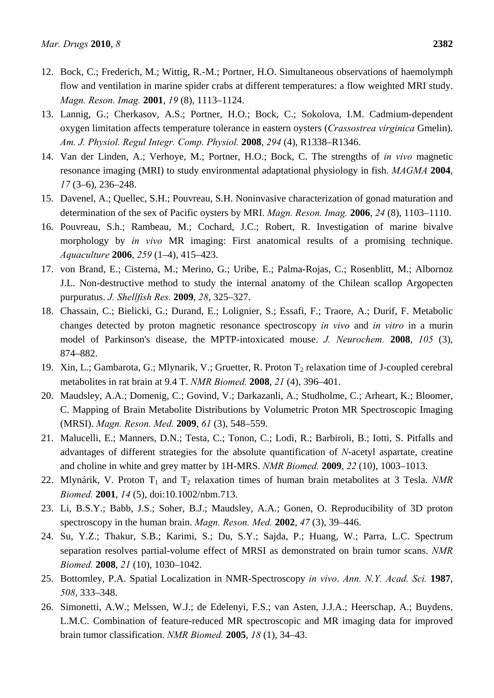- 12. Bock, C.; Frederich, M.; Wittig, R.-M.; Portner, H.O. Simultaneous observations of haemolymph flow and ventilation in marine spider crabs at different temperatures: a flow weighted MRI study. *Magn. Reson. Imag.* **2001**, *19* (8), 1113–1124.
- 13. Lannig, G.; Cherkasov, A.S.; Portner, H.O.; Bock, C.; Sokolova, I.M. Cadmium-dependent oxygen limitation affects temperature tolerance in eastern oysters (*Crassostrea virginica* Gmelin). *Am. J. Physiol. Regul Integr. Comp. Physiol.* **2008**, *294* (4), R1338–R1346.
- 14. Van der Linden, A.; Verhoye, M.; Portner, H.O.; Bock, C. The strengths of *in vivo* magnetic resonance imaging (MRI) to study environmental adaptational physiology in fish. *MAGMA* **2004**, *17* (3–6), 236–248.
- 15. Davenel, A.; Quellec, S.H.; Pouvreau, S.H. Noninvasive characterization of gonad maturation and determination of the sex of Pacific oysters by MRI. *Magn. Reson. Imag.* **2006**, *24* (8), 1103–1110.
- 16. Pouvreau, S.h.; Rambeau, M.; Cochard, J.C.; Robert, R. Investigation of marine bivalve morphology by *in vivo* MR imaging: First anatomical results of a promising technique. *Aquaculture* **2006**, *259* (1–4), 415–423.
- 17. von Brand, E.; Cisterna, M.; Merino, G.; Uribe, E.; Palma-Rojas, C.; Rosenblitt, M.; Albornoz J.L. Non-destructive method to study the internal anatomy of the Chilean scallop Argopecten purpuratus. *J. Shellfish Res.* **2009**, *28*, 325–327.
- 18. Chassain, C.; Bielicki, G.; Durand, E.; Lolignier, S.; Essafi, F.; Traore, A.; Durif, F. Metabolic changes detected by proton magnetic resonance spectroscopy *in vivo* and *in vitro* in a murin model of Parkinson's disease, the MPTP-intoxicated mouse. *J. Neurochem.* **2008**, *105* (3), 874–882.
- 19. Xin, L.; Gambarota, G.; Mlynarik, V.; Gruetter, R. Proton  $T_2$  relaxation time of J-coupled cerebral metabolites in rat brain at 9.4 T. *NMR Biomed.* **2008**, *21* (4), 396–401.
- 20. Maudsley, A.A.; Domenig, C.; Govind, V.; Darkazanli, A.; Studholme, C.; Arheart, K.; Bloomer, C. Mapping of Brain Metabolite Distributions by Volumetric Proton MR Spectroscopic Imaging (MRSI). *Magn. Reson. Med.* **2009**, *61* (3), 548–559.
- 21. Malucelli, E.; Manners, D.N.; Testa, C.; Tonon, C.; Lodi, R.; Barbiroli, B.; Iotti, S. Pitfalls and advantages of different strategies for the absolute quantification of *N*-acetyl aspartate, creatine and choline in white and grey matter by 1H-MRS. *NMR Biomed.* **2009**, *22* (10), 1003–1013.
- 22. Mlynárik, V. Proton T<sub>1</sub> and T<sub>2</sub> relaxation times of human brain metabolites at 3 Tesla. *NMR Biomed.* **2001**, *14* (5), doi:10.1002/nbm.713.
- 23. Li, B.S.Y.; Babb, J.S.; Soher, B.J.; Maudsley, A.A.; Gonen, O. Reproducibility of 3D proton spectroscopy in the human brain. *Magn. Reson. Med.* **2002**, *47* (3), 39–446.
- 24. Su, Y.Z.; Thakur, S.B.; Karimi, S.; Du, S.Y.; Sajda, P.; Huang, W.; Parra, L.C. Spectrum separation resolves partial-volume effect of MRSI as demonstrated on brain tumor scans. *NMR Biomed.* **2008**, *21* (10), 1030–1042.
- 25. Bottomley, P.A. Spatial Localization in NMR-Spectroscopy *in vivo*. *Ann. N.Y. Acad. Sci.* **1987**, *508*, 333–348.
- 26. Simonetti, A.W.; Melssen, W.J.; de Edelenyi, F.S.; van Asten, J.J.A.; Heerschap, A.; Buydens, L.M.C. Combination of feature-reduced MR spectroscopic and MR imaging data for improved brain tumor classification. *NMR Biomed.* **2005**, *18* (1), 34–43.